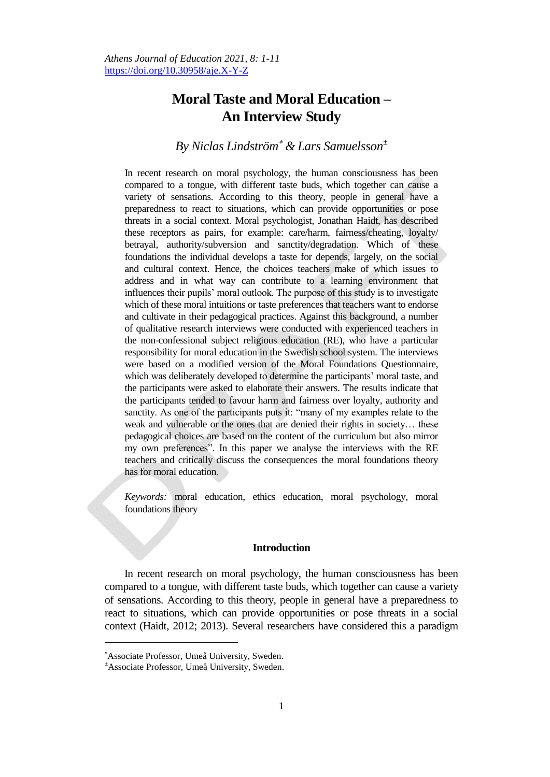# **Moral Taste and Moral Education – An Interview Study**

# *By Niclas Lindström & Lars Samuelsson<sup>±</sup>*

In recent research on moral psychology, the human consciousness has been compared to a tongue, with different taste buds, which together can cause a variety of sensations. According to this theory, people in general have a preparedness to react to situations, which can provide opportunities or pose threats in a social context. Moral psychologist, Jonathan Haidt, has described these receptors as pairs, for example: care/harm, fairness/cheating, loyalty/ betrayal, authority/subversion and sanctity/degradation. Which of these foundations the individual develops a taste for depends, largely, on the social and cultural context. Hence, the choices teachers make of which issues to address and in what way can contribute to a learning environment that influences their pupils" moral outlook. The purpose of this study is to investigate which of these moral intuitions or taste preferences that teachers want to endorse and cultivate in their pedagogical practices. Against this background, a number of qualitative research interviews were conducted with experienced teachers in the non-confessional subject religious education (RE), who have a particular responsibility for moral education in the Swedish school system. The interviews were based on a modified version of the Moral Foundations Questionnaire, which was deliberately developed to determine the participants' moral taste, and the participants were asked to elaborate their answers. The results indicate that the participants tended to favour harm and fairness over loyalty, authority and sanctity. As one of the participants puts it: "many of my examples relate to the weak and vulnerable or the ones that are denied their rights in society… these pedagogical choices are based on the content of the curriculum but also mirror my own preferences". In this paper we analyse the interviews with the RE teachers and critically discuss the consequences the moral foundations theory has for moral education.

*Keywords:* moral education, ethics education, moral psychology, moral foundations theory

# **Introduction**

In recent research on moral psychology, the human consciousness has been compared to a tongue, with different taste buds, which together can cause a variety of sensations. According to this theory, people in general have a preparedness to react to situations, which can provide opportunities or pose threats in a social context (Haidt, 2012; 2013). Several researchers have considered this a paradigm

 $\overline{a}$ 

Associate Professor, Umeå University, Sweden.

<sup>±</sup>Associate Professor, Umeå University, Sweden.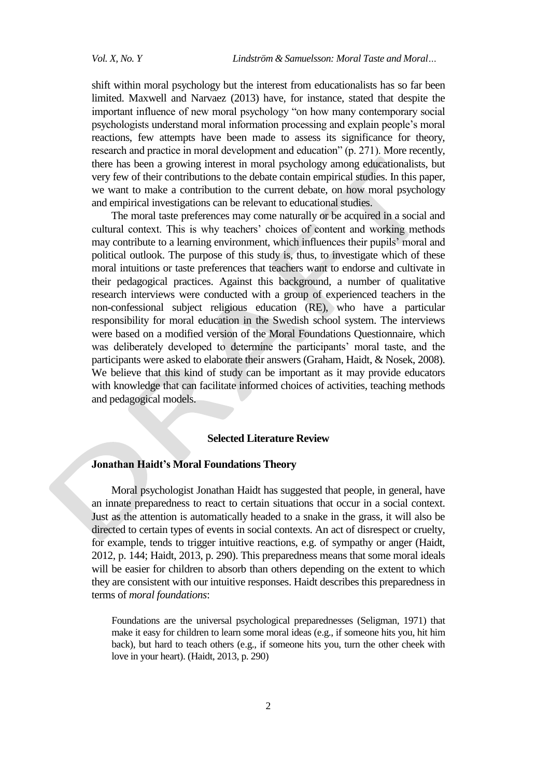shift within moral psychology but the interest from educationalists has so far been limited. Maxwell and Narvaez (2013) have, for instance, stated that despite the important influence of new moral psychology "on how many contemporary social psychologists understand moral information processing and explain people"s moral reactions, few attempts have been made to assess its significance for theory, research and practice in moral development and education" (p. 271). More recently, there has been a growing interest in moral psychology among educationalists, but very few of their contributions to the debate contain empirical studies. In this paper, we want to make a contribution to the current debate, on how moral psychology and empirical investigations can be relevant to educational studies.

The moral taste preferences may come naturally or be acquired in a social and cultural context. This is why teachers' choices of content and working methods may contribute to a learning environment, which influences their pupils" moral and political outlook. The purpose of this study is, thus, to investigate which of these moral intuitions or taste preferences that teachers want to endorse and cultivate in their pedagogical practices. Against this background, a number of qualitative research interviews were conducted with a group of experienced teachers in the non-confessional subject religious education (RE), who have a particular responsibility for moral education in the Swedish school system. The interviews were based on a modified version of the Moral Foundations Questionnaire, which was deliberately developed to determine the participants' moral taste, and the participants were asked to elaborate their answers (Graham, Haidt, & Nosek, 2008). We believe that this kind of study can be important as it may provide educators with knowledge that can facilitate informed choices of activities, teaching methods and pedagogical models.

# **Selected Literature Review**

# **Jonathan Haidt's Moral Foundations Theory**

Moral psychologist Jonathan Haidt has suggested that people, in general, have an innate preparedness to react to certain situations that occur in a social context. Just as the attention is automatically headed to a snake in the grass, it will also be directed to certain types of events in social contexts. An act of disrespect or cruelty, for example, tends to trigger intuitive reactions, e.g. of sympathy or anger (Haidt, 2012, p. 144; Haidt, 2013, p. 290). This preparedness means that some moral ideals will be easier for children to absorb than others depending on the extent to which they are consistent with our intuitive responses. Haidt describes this preparedness in terms of *moral foundations*:

Foundations are the universal psychological preparednesses (Seligman, 1971) that make it easy for children to learn some moral ideas (e.g., if someone hits you, hit him back), but hard to teach others (e.g., if someone hits you, turn the other cheek with love in your heart). (Haidt, 2013, p. 290)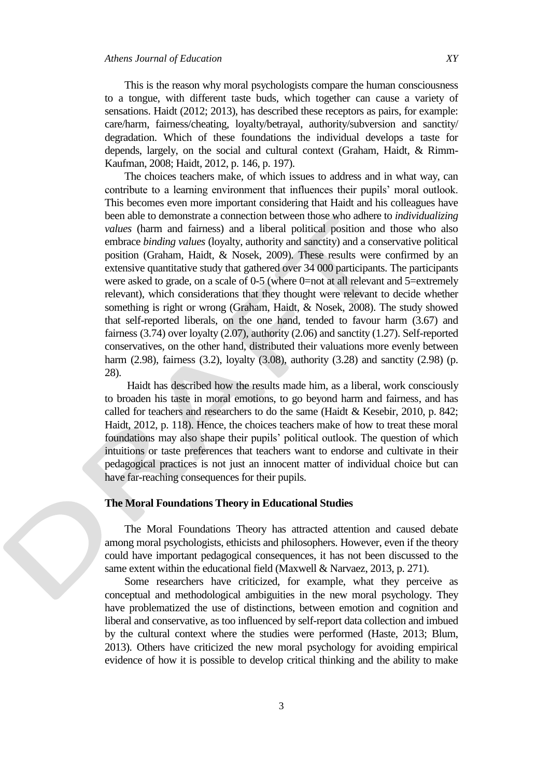This is the reason why moral psychologists compare the human consciousness to a tongue, with different taste buds, which together can cause a variety of sensations. Haidt (2012; 2013), has described these receptors as pairs, for example: care/harm, fairness/cheating, loyalty/betrayal, authority/subversion and sanctity/ degradation. Which of these foundations the individual develops a taste for depends, largely, on the social and cultural context (Graham, Haidt, & Rimm-Kaufman, 2008; Haidt, 2012, p. 146, p. 197).

The choices teachers make, of which issues to address and in what way, can contribute to a learning environment that influences their pupils' moral outlook. This becomes even more important considering that Haidt and his colleagues have been able to demonstrate a connection between those who adhere to *individualizing values* (harm and fairness) and a liberal political position and those who also embrace *binding values* (loyalty, authority and sanctity) and a conservative political position (Graham, Haidt, & Nosek, 2009). These results were confirmed by an extensive quantitative study that gathered over 34 000 participants. The participants were asked to grade, on a scale of 0-5 (where 0=not at all relevant and 5=extremely relevant), which considerations that they thought were relevant to decide whether something is right or wrong (Graham, Haidt, & Nosek, 2008). The study showed that self-reported liberals, on the one hand, tended to favour harm (3.67) and fairness (3.74) over loyalty (2.07), authority (2.06) and sanctity (1.27). Self-reported conservatives, on the other hand, distributed their valuations more evenly between harm (2.98), fairness (3.2), loyalty (3.08), authority (3.28) and sanctity (2.98) (p. 28).

Haidt has described how the results made him, as a liberal, work consciously to broaden his taste in moral emotions, to go beyond harm and fairness, and has called for teachers and researchers to do the same (Haidt & Kesebir, 2010, p. 842; Haidt, 2012, p. 118). Hence, the choices teachers make of how to treat these moral foundations may also shape their pupils" political outlook. The question of which intuitions or taste preferences that teachers want to endorse and cultivate in their pedagogical practices is not just an innocent matter of individual choice but can have far-reaching consequences for their pupils.

## **The Moral Foundations Theory in Educational Studies**

The Moral Foundations Theory has attracted attention and caused debate among moral psychologists, ethicists and philosophers. However, even if the theory could have important pedagogical consequences, it has not been discussed to the same extent within the educational field (Maxwell & Narvaez, 2013, p. 271).

Some researchers have criticized, for example, what they perceive as conceptual and methodological ambiguities in the new moral psychology. They have problematized the use of distinctions, between emotion and cognition and liberal and conservative, as too influenced by self-report data collection and imbued by the cultural context where the studies were performed (Haste, 2013; Blum, 2013). Others have criticized the new moral psychology for avoiding empirical evidence of how it is possible to develop critical thinking and the ability to make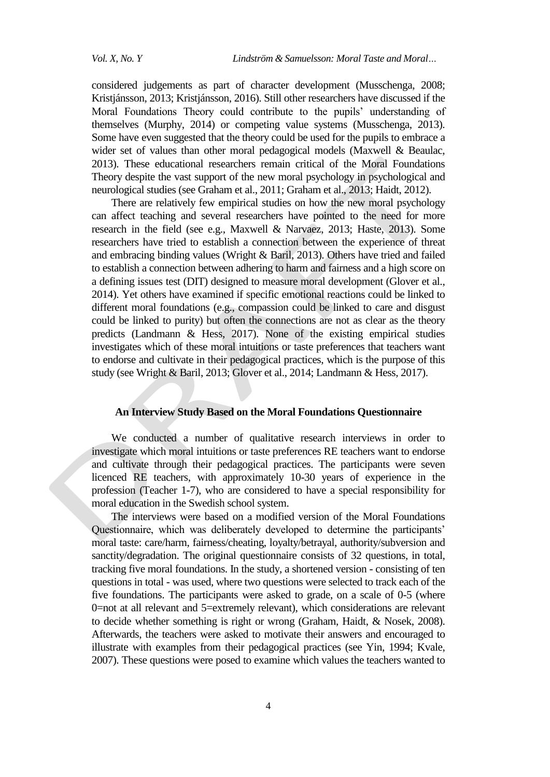considered judgements as part of character development (Musschenga, 2008; Kristjánsson, 2013; Kristjánsson, 2016). Still other researchers have discussed if the Moral Foundations Theory could contribute to the pupils' understanding of themselves (Murphy, 2014) or competing value systems (Musschenga, 2013). Some have even suggested that the theory could be used for the pupils to embrace a wider set of values than other moral pedagogical models (Maxwell & Beaulac, 2013). These educational researchers remain critical of the Moral Foundations Theory despite the vast support of the new moral psychology in psychological and neurological studies (see Graham et al., 2011; Graham et al., 2013; Haidt, 2012).

There are relatively few empirical studies on how the new moral psychology can affect teaching and several researchers have pointed to the need for more research in the field (see e.g., Maxwell & Narvaez, 2013; Haste, 2013). Some researchers have tried to establish a connection between the experience of threat and embracing binding values (Wright & Baril, 2013). Others have tried and failed to establish a connection between adhering to harm and fairness and a high score on a defining issues test (DIT) designed to measure moral development (Glover et al., 2014). Yet others have examined if specific emotional reactions could be linked to different moral foundations (e.g., compassion could be linked to care and disgust could be linked to purity) but often the connections are not as clear as the theory predicts (Landmann & Hess, 2017). None of the existing empirical studies investigates which of these moral intuitions or taste preferences that teachers want to endorse and cultivate in their pedagogical practices, which is the purpose of this study (see Wright & Baril, 2013; Glover et al., 2014; Landmann & Hess, 2017).

# **An Interview Study Based on the Moral Foundations Questionnaire**

We conducted a number of qualitative research interviews in order to investigate which moral intuitions or taste preferences RE teachers want to endorse and cultivate through their pedagogical practices. The participants were seven licenced RE teachers, with approximately 10-30 years of experience in the profession (Teacher 1-7), who are considered to have a special responsibility for moral education in the Swedish school system.

The interviews were based on a modified version of the Moral Foundations Questionnaire, which was deliberately developed to determine the participants' moral taste: care/harm, fairness/cheating, loyalty/betrayal, authority/subversion and sanctity/degradation. The original questionnaire consists of 32 questions, in total, tracking five moral foundations. In the study, a shortened version - consisting of ten questions in total - was used, where two questions were selected to track each of the five foundations. The participants were asked to grade, on a scale of 0-5 (where 0=not at all relevant and 5=extremely relevant), which considerations are relevant to decide whether something is right or wrong (Graham, Haidt, & Nosek, 2008). Afterwards, the teachers were asked to motivate their answers and encouraged to illustrate with examples from their pedagogical practices (see Yin, 1994; Kvale, 2007). These questions were posed to examine which values the teachers wanted to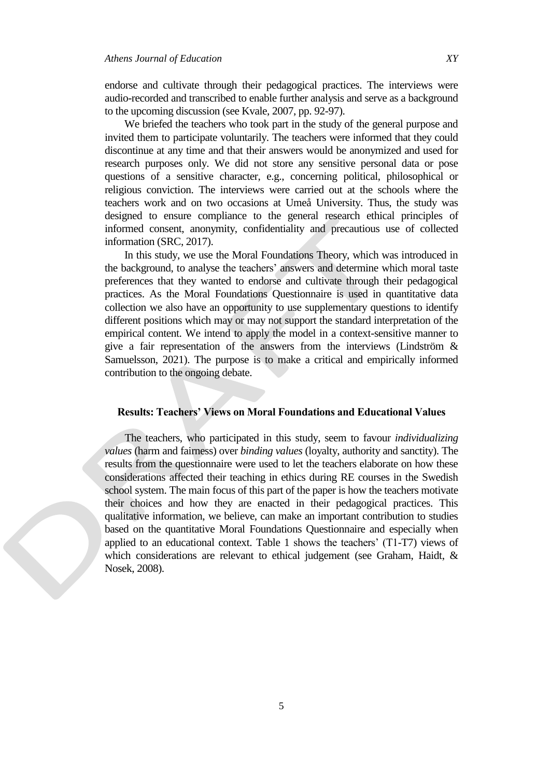endorse and cultivate through their pedagogical practices. The interviews were audio-recorded and transcribed to enable further analysis and serve as a background to the upcoming discussion (see Kvale, 2007, pp. 92-97).

We briefed the teachers who took part in the study of the general purpose and invited them to participate voluntarily. The teachers were informed that they could discontinue at any time and that their answers would be anonymized and used for research purposes only. We did not store any sensitive personal data or pose questions of a sensitive character, e.g., concerning political, philosophical or religious conviction. The interviews were carried out at the schools where the teachers work and on two occasions at Umeå University. Thus, the study was designed to ensure compliance to the general research ethical principles of informed consent, anonymity, confidentiality and precautious use of collected information (SRC, 2017).

In this study, we use the Moral Foundations Theory, which was introduced in the background, to analyse the teachers" answers and determine which moral taste preferences that they wanted to endorse and cultivate through their pedagogical practices. As the Moral Foundations Questionnaire is used in quantitative data collection we also have an opportunity to use supplementary questions to identify different positions which may or may not support the standard interpretation of the empirical content. We intend to apply the model in a context-sensitive manner to give a fair representation of the answers from the interviews (Lindström & Samuelsson, 2021). The purpose is to make a critical and empirically informed contribution to the ongoing debate.

#### **Results: Teachers' Views on Moral Foundations and Educational Values**

The teachers, who participated in this study, seem to favour *individualizing values* (harm and fairness) over *binding values* (loyalty, authority and sanctity). The results from the questionnaire were used to let the teachers elaborate on how these considerations affected their teaching in ethics during RE courses in the Swedish school system. The main focus of this part of the paper is how the teachers motivate their choices and how they are enacted in their pedagogical practices. This qualitative information, we believe, can make an important contribution to studies based on the quantitative Moral Foundations Questionnaire and especially when applied to an educational context. Table 1 shows the teachers'  $(T1-T7)$  views of which considerations are relevant to ethical judgement (see Graham, Haidt, & Nosek, 2008).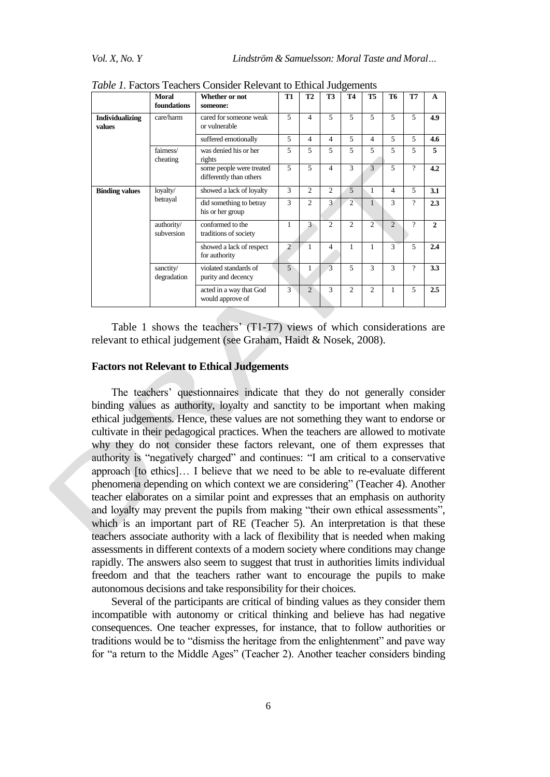|                                  | <b>Moral</b><br>foundations | Whether or not<br>someone:                          | <b>T1</b>      | T <sub>2</sub> | T3                       | <b>T4</b>      | <b>T5</b>      | T <sub>6</sub> | T7       | $\mathbf{A}$ |
|----------------------------------|-----------------------------|-----------------------------------------------------|----------------|----------------|--------------------------|----------------|----------------|----------------|----------|--------------|
| <b>Individualizing</b><br>values | care/harm                   | cared for someone weak<br>or vulnerable             | 5              | $\overline{4}$ | 5                        | 5              | 5              | 5              | 5        | 4.9          |
|                                  |                             | suffered emotionally                                | 5              | $\overline{4}$ | 4                        | 5              | 4              | 5              | 5        | 4.6          |
|                                  | fairness/<br>cheating       | was denied his or her<br>rights                     | 5              | 5              | 5                        | 5              | 5              | 5              | 5        | 5            |
|                                  |                             | some people were treated<br>differently than others | 5              | 5              | $\overline{\mathcal{L}}$ | $\mathbf{3}$   | 3              | 5              | $\gamma$ | 4.2          |
| <b>Binding values</b>            | loyalty/<br>betrayal        | showed a lack of loyalty                            | 3              | 2              | $\mathfrak{D}$           | 5              | 1              | $\overline{4}$ | 5        | 3.1          |
|                                  |                             | did something to betray<br>his or her group         | 3              | $\mathfrak{D}$ | 3                        | $\overline{2}$ | 1              | $\mathcal{R}$  | $\gamma$ | 2.3          |
|                                  | authority/<br>subversion    | conformed to the<br>traditions of society           | 1              | 3              | $\overline{c}$           | $\overline{2}$ | $\overline{c}$ | $\overline{2}$ | $\gamma$ | $\mathbf{2}$ |
|                                  |                             | showed a lack of respect<br>for authority           | $\overline{2}$ | 1              | 4                        | 1              | 1              | 3              | 5        | 2.4          |
|                                  | sanctity/<br>degradation    | violated standards of<br>purity and decency         | $\overline{5}$ |                | 3                        | 5              | 3              | 3              | $\gamma$ | 3.3          |
|                                  |                             | acted in a way that God<br>would approve of         | 3              | $\overline{2}$ | 3                        | $\overline{2}$ | $\overline{2}$ | 1              | 5        | 2.5          |

*Table 1.* Factors Teachers Consider Relevant to Ethical Judgements

Table 1 shows the teachers' (T1-T7) views of which considerations are relevant to ethical judgement (see Graham, Haidt & Nosek, 2008).

## **Factors not Relevant to Ethical Judgements**

The teachers' questionnaires indicate that they do not generally consider binding values as authority, loyalty and sanctity to be important when making ethical judgements. Hence, these values are not something they want to endorse or cultivate in their pedagogical practices. When the teachers are allowed to motivate why they do not consider these factors relevant, one of them expresses that authority is "negatively charged" and continues: "I am critical to a conservative approach [to ethics]… I believe that we need to be able to re-evaluate different phenomena depending on which context we are considering" (Teacher 4). Another teacher elaborates on a similar point and expresses that an emphasis on authority and loyalty may prevent the pupils from making "their own ethical assessments", which is an important part of RE (Teacher 5). An interpretation is that these teachers associate authority with a lack of flexibility that is needed when making assessments in different contexts of a modern society where conditions may change rapidly. The answers also seem to suggest that trust in authorities limits individual freedom and that the teachers rather want to encourage the pupils to make autonomous decisions and take responsibility for their choices.

Several of the participants are critical of binding values as they consider them incompatible with autonomy or critical thinking and believe has had negative consequences. One teacher expresses, for instance, that to follow authorities or traditions would be to "dismiss the heritage from the enlightenment" and pave way for "a return to the Middle Ages" (Teacher 2). Another teacher considers binding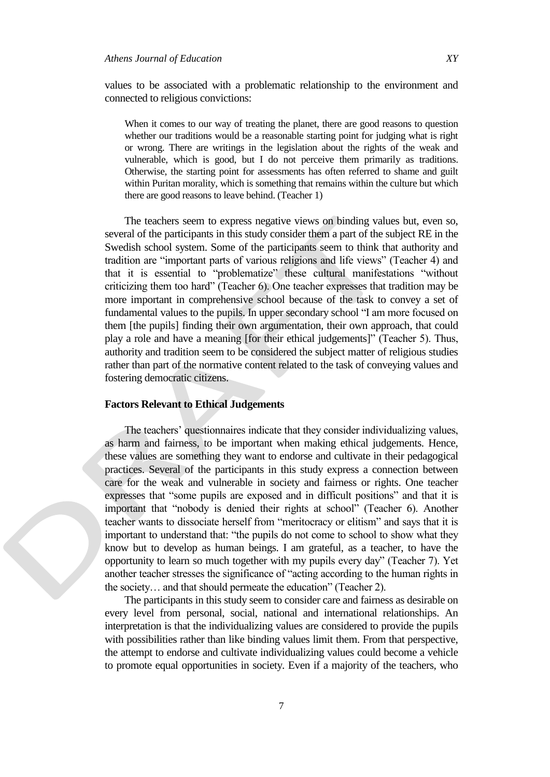values to be associated with a problematic relationship to the environment and connected to religious convictions:

When it comes to our way of treating the planet, there are good reasons to question whether our traditions would be a reasonable starting point for judging what is right or wrong. There are writings in the legislation about the rights of the weak and vulnerable, which is good, but I do not perceive them primarily as traditions. Otherwise, the starting point for assessments has often referred to shame and guilt within Puritan morality, which is something that remains within the culture but which there are good reasons to leave behind. (Teacher 1)

The teachers seem to express negative views on binding values but, even so, several of the participants in this study consider them a part of the subject RE in the Swedish school system. Some of the participants seem to think that authority and tradition are "important parts of various religions and life views" (Teacher 4) and that it is essential to "problematize" these cultural manifestations "without criticizing them too hard" (Teacher 6). One teacher expresses that tradition may be more important in comprehensive school because of the task to convey a set of fundamental values to the pupils. In upper secondary school "I am more focused on them [the pupils] finding their own argumentation, their own approach, that could play a role and have a meaning [for their ethical judgements]" (Teacher 5). Thus, authority and tradition seem to be considered the subject matter of religious studies rather than part of the normative content related to the task of conveying values and fostering democratic citizens.

# **Factors Relevant to Ethical Judgements**

The teachers' questionnaires indicate that they consider individualizing values, as harm and fairness, to be important when making ethical judgements. Hence, these values are something they want to endorse and cultivate in their pedagogical practices. Several of the participants in this study express a connection between care for the weak and vulnerable in society and fairness or rights. One teacher expresses that "some pupils are exposed and in difficult positions" and that it is important that "nobody is denied their rights at school" (Teacher 6). Another teacher wants to dissociate herself from "meritocracy or elitism" and says that it is important to understand that: "the pupils do not come to school to show what they know but to develop as human beings. I am grateful, as a teacher, to have the opportunity to learn so much together with my pupils every day" (Teacher 7). Yet another teacher stresses the significance of "acting according to the human rights in the society… and that should permeate the education" (Teacher 2).

The participants in this study seem to consider care and fairness as desirable on every level from personal, social, national and international relationships. An interpretation is that the individualizing values are considered to provide the pupils with possibilities rather than like binding values limit them. From that perspective, the attempt to endorse and cultivate individualizing values could become a vehicle to promote equal opportunities in society. Even if a majority of the teachers, who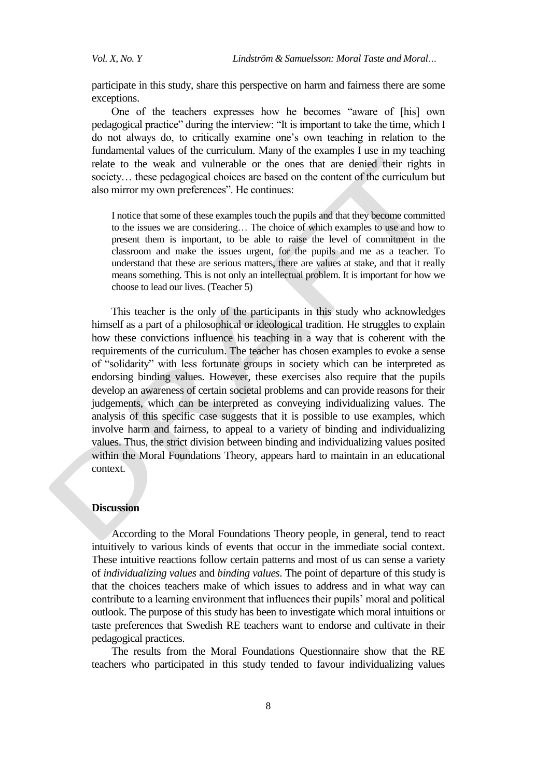participate in this study, share this perspective on harm and fairness there are some exceptions.

One of the teachers expresses how he becomes "aware of [his] own pedagogical practice" during the interview: "It is important to take the time, which I do not always do, to critically examine one"s own teaching in relation to the fundamental values of the curriculum. Many of the examples I use in my teaching relate to the weak and vulnerable or the ones that are denied their rights in society… these pedagogical choices are based on the content of the curriculum but also mirror my own preferences". He continues:

I notice that some of these examples touch the pupils and that they become committed to the issues we are considering… The choice of which examples to use and how to present them is important, to be able to raise the level of commitment in the classroom and make the issues urgent, for the pupils and me as a teacher. To understand that these are serious matters, there are values at stake, and that it really means something. This is not only an intellectual problem. It is important for how we choose to lead our lives. (Teacher 5)

This teacher is the only of the participants in this study who acknowledges himself as a part of a philosophical or ideological tradition. He struggles to explain how these convictions influence his teaching in a way that is coherent with the requirements of the curriculum. The teacher has chosen examples to evoke a sense of "solidarity" with less fortunate groups in society which can be interpreted as endorsing binding values. However, these exercises also require that the pupils develop an awareness of certain societal problems and can provide reasons for their judgements, which can be interpreted as conveying individualizing values. The analysis of this specific case suggests that it is possible to use examples, which involve harm and fairness, to appeal to a variety of binding and individualizing values. Thus, the strict division between binding and individualizing values posited within the Moral Foundations Theory, appears hard to maintain in an educational context.

# **Discussion**

According to the Moral Foundations Theory people, in general, tend to react intuitively to various kinds of events that occur in the immediate social context. These intuitive reactions follow certain patterns and most of us can sense a variety of *individualizing values* and *binding values*. The point of departure of this study is that the choices teachers make of which issues to address and in what way can contribute to a learning environment that influences their pupils" moral and political outlook. The purpose of this study has been to investigate which moral intuitions or taste preferences that Swedish RE teachers want to endorse and cultivate in their pedagogical practices.

The results from the Moral Foundations Questionnaire show that the RE teachers who participated in this study tended to favour individualizing values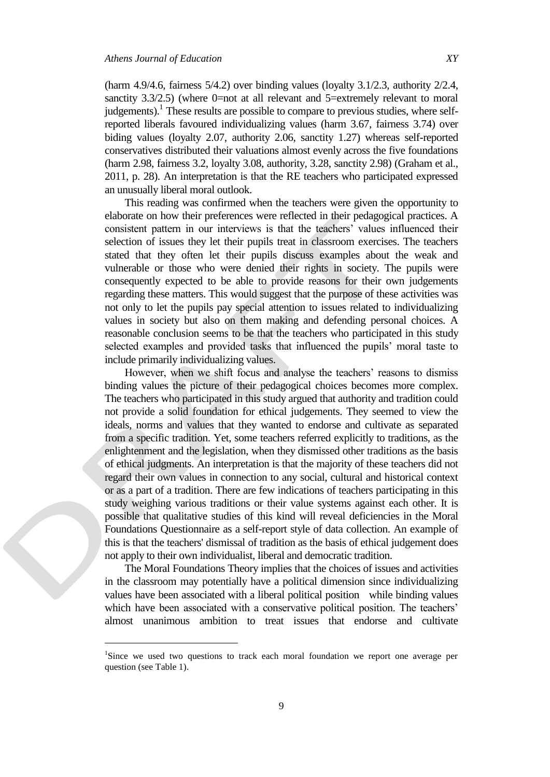$\overline{a}$ 

(harm 4.9/4.6, fairness 5/4.2) over binding values (loyalty 3.1/2.3, authority 2/2.4, sanctity 3.3/2.5) (where 0=not at all relevant and 5=extremely relevant to moral judgements).<sup>1</sup> These results are possible to compare to previous studies, where selfreported liberals favoured individualizing values (harm 3.67, fairness 3.74) over biding values (loyalty 2.07, authority 2.06, sanctity 1.27) whereas self-reported conservatives distributed their valuations almost evenly across the five foundations (harm 2.98, fairness 3.2, loyalty 3.08, authority, 3.28, sanctity 2.98) (Graham et al., 2011, p. 28). An interpretation is that the RE teachers who participated expressed an unusually liberal moral outlook.

This reading was confirmed when the teachers were given the opportunity to elaborate on how their preferences were reflected in their pedagogical practices. A consistent pattern in our interviews is that the teachers' values influenced their selection of issues they let their pupils treat in classroom exercises. The teachers stated that they often let their pupils discuss examples about the weak and vulnerable or those who were denied their rights in society. The pupils were consequently expected to be able to provide reasons for their own judgements regarding these matters. This would suggest that the purpose of these activities was not only to let the pupils pay special attention to issues related to individualizing values in society but also on them making and defending personal choices. A reasonable conclusion seems to be that the teachers who participated in this study selected examples and provided tasks that influenced the pupils' moral taste to include primarily individualizing values.

However, when we shift focus and analyse the teachers' reasons to dismiss binding values the picture of their pedagogical choices becomes more complex. The teachers who participated in this study argued that authority and tradition could not provide a solid foundation for ethical judgements. They seemed to view the ideals, norms and values that they wanted to endorse and cultivate as separated from a specific tradition. Yet, some teachers referred explicitly to traditions, as the enlightenment and the legislation, when they dismissed other traditions as the basis of ethical judgments. An interpretation is that the majority of these teachers did not regard their own values in connection to any social, cultural and historical context or as a part of a tradition. There are few indications of teachers participating in this study weighing various traditions or their value systems against each other. It is possible that qualitative studies of this kind will reveal deficiencies in the Moral Foundations Questionnaire as a self-report style of data collection. An example of this is that the teachers' dismissal of tradition as the basis of ethical judgement does not apply to their own individualist, liberal and democratic tradition.

The Moral Foundations Theory implies that the choices of issues and activities in the classroom may potentially have a political dimension since individualizing values have been associated with a liberal political position while binding values which have been associated with a conservative political position. The teachers' almost unanimous ambition to treat issues that endorse and cultivate

<sup>&</sup>lt;sup>1</sup>Since we used two questions to track each moral foundation we report one average per question (see Table 1).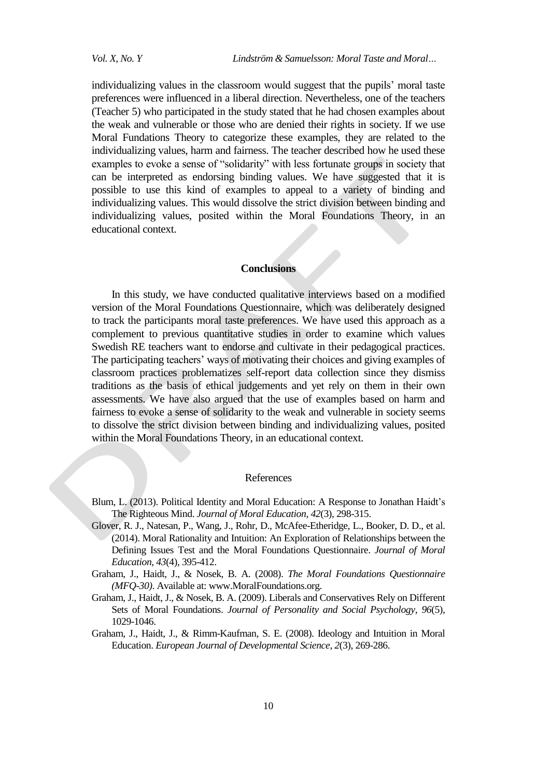individualizing values in the classroom would suggest that the pupils' moral taste preferences were influenced in a liberal direction. Nevertheless, one of the teachers (Teacher 5) who participated in the study stated that he had chosen examples about the weak and vulnerable or those who are denied their rights in society. If we use Moral Fundations Theory to categorize these examples, they are related to the individualizing values, harm and fairness. The teacher described how he used these examples to evoke a sense of "solidarity" with less fortunate groups in society that can be interpreted as endorsing binding values. We have suggested that it is possible to use this kind of examples to appeal to a variety of binding and individualizing values. This would dissolve the strict division between binding and individualizing values, posited within the Moral Foundations Theory, in an educational context.

# **Conclusions**

In this study, we have conducted qualitative interviews based on a modified version of the Moral Foundations Questionnaire, which was deliberately designed to track the participants moral taste preferences. We have used this approach as a complement to previous quantitative studies in order to examine which values Swedish RE teachers want to endorse and cultivate in their pedagogical practices. The participating teachers' ways of motivating their choices and giving examples of classroom practices problematizes self-report data collection since they dismiss traditions as the basis of ethical judgements and yet rely on them in their own assessments. We have also argued that the use of examples based on harm and fairness to evoke a sense of solidarity to the weak and vulnerable in society seems to dissolve the strict division between binding and individualizing values, posited within the Moral Foundations Theory, in an educational context.

#### References

- Blum, L. (2013). Political Identity and Moral Education: A Response to Jonathan Haidt"s The Righteous Mind. *Journal of Moral Education*, *42*(3), 298-315.
- Glover, R. J., Natesan, P., Wang, J., Rohr, D., McAfee-Etheridge, L., Booker, D. D., et al. (2014). Moral Rationality and Intuition: An Exploration of Relationships between the Defining Issues Test and the Moral Foundations Questionnaire. *Journal of Moral Education*, *43*(4), 395-412.
- Graham, J., Haidt, J., & Nosek, B. A. (2008). *The Moral Foundations Questionnaire (MFQ-30)*. Available at: www.MoralFoundations.org.
- Graham, J., Haidt, J., & Nosek, B. A. (2009). Liberals and Conservatives Rely on Different Sets of Moral Foundations. *Journal of Personality and Social Psychology*, *96*(5), 1029-1046.
- Graham, J., Haidt, J., & Rimm-Kaufman, S. E. (2008). Ideology and Intuition in Moral Education. *European Journal of Developmental Science*, *2*(3), 269-286.